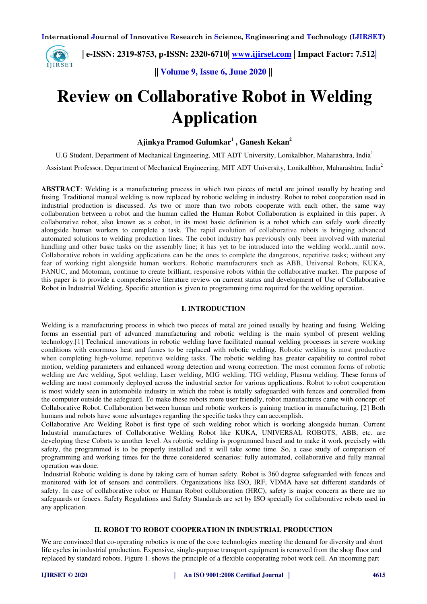**| e-ISSN: 2319-8753, p-ISSN: 2320-6710| [www.ijirset.com](http://www.ijirset.com/) | Impact Factor: 7.512|**

**|| Volume 9, Issue 6, June 2020 ||** 

# **Review on Collaborative Robot in Welding Application**

# **Ajinkya Pramod Gulumkar<sup>1</sup> , Ganesh Kekan<sup>2</sup>**

U.G Student, Department of Mechanical Engineering, MIT ADT University, Lonikalbhor, Maharashtra, India<sup>1</sup>

Assistant Professor, Department of Mechanical Engineering, MIT ADT University, Lonikalbhor, Maharashtra, India<sup>2</sup>

**ABSTRACT**: Welding is a manufacturing process in which two pieces of metal are joined usually by heating and fusing. Traditional manual welding is now replaced by robotic welding in industry. Robot to robot cooperation used in industrial production is discussed. As two or more than two robots cooperate with each other, the same way collaboration between a robot and the human called the Human Robot Collaboration is explained in this paper. A collaborative robot, also known as a cobot, in its most basic definition is a robot which can safely work directly alongside human workers to complete a task. The rapid evolution of collaborative robots is bringing advanced automated solutions to welding production lines. The cobot industry has previously only been involved with material handling and other basic tasks on the assembly line; it has yet to be introduced into the welding world...until now. Collaborative robots in welding applications can be the ones to complete the dangerous, repetitive tasks; without any fear of working right alongside human workers. Robotic manufacturers such as ABB, Universal Robots, KUKA, FANUC, and Motoman, continue to create brilliant, responsive robots within the collaborative market. The purpose of this paper is to provide a comprehensive literature review on current status and development of Use of Collaborative Robot in Industrial Welding. Specific attention is given to programming time required for the welding operation.

# **I. INTRODUCTION**

Welding is a manufacturing process in which two pieces of metal are joined usually by heating and fusing. Welding forms an essential part of advanced manufacturing and robotic welding is the main symbol of present welding technology.[1] Technical innovations in robotic welding have facilitated manual welding processes in severe working conditions with enormous heat and fumes to be replaced with robotic welding. Robotic welding is most productive when completing high-volume, repetitive welding tasks. The robotic welding has greater capability to control robot motion, welding parameters and enhanced wrong detection and wrong correction. The most common forms of robotic welding are Arc welding, Spot welding, Laser welding, MIG welding, TIG welding, Plasma welding. These forms of welding are most commonly deployed across the industrial sector for various applications. Robot to robot cooperation is most widely seen in automobile industry in which the robot is totally safeguarded with fences and controlled from the computer outside the safeguard. To make these robots more user friendly, robot manufactures came with concept of Collaborative Robot. Collaboration between human and robotic workers is gaining traction in manufacturing. [2] Both humans and robots have some advantages regarding the specific tasks they can accomplish.

Collaborative Arc Welding Robot is first type of such welding robot which is working alongside human. Current Industrial manufactures of Collaborative Welding Robot like KUKA, UNIVERSAL ROBOTS, ABB, etc. are developing these Cobots to another level. As robotic welding is programmed based and to make it work precisely with safety, the programmed is to be properly installed and it will take some time. So, a case study of comparison of programming and working times for the three considered scenarios: fully automated, collaborative and fully manual operation was done.

 Industrial Robotic welding is done by taking care of human safety. Robot is 360 degree safeguarded with fences and monitored with lot of sensors and controllers. Organizations like ISO, IRF, VDMA have set different standards of safety. In case of collaborative robot or Human Robot collaboration (HRC), safety is major concern as there are no safeguards or fences. Safety Regulations and Safety Standards are set by ISO specially for collaborative robots used in any application.

# **II. ROBOT TO ROBOT COOPERATION IN INDUSTRIAL PRODUCTION**

We are convinced that co-operating robotics is one of the core technologies meeting the demand for diversity and short life cycles in industrial production. Expensive, single-purpose transport equipment is removed from the shop floor and replaced by standard robots. Figure 1. shows the principle of a flexible cooperating robot work cell. An incoming part

IJIRSET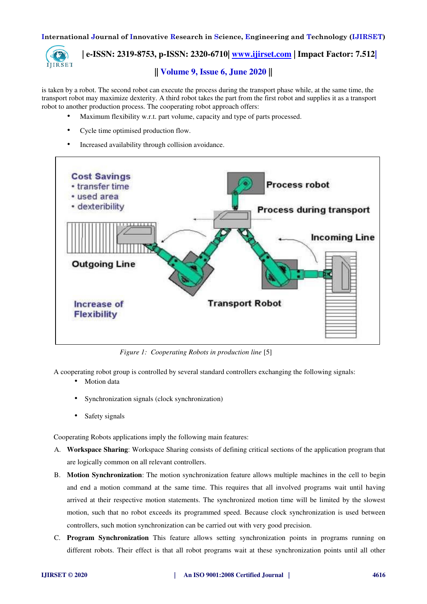

 **| e-ISSN: 2319-8753, p-ISSN: 2320-6710| [www.ijirset.com](http://www.ijirset.com/) | Impact Factor: 7.512|**

# **|| Volume 9, Issue 6, June 2020 ||**

is taken by a robot. The second robot can execute the process during the transport phase while, at the same time, the transport robot may maximize dexterity. A third robot takes the part from the first robot and supplies it as a transport robot to another production process. The cooperating robot approach offers:

- Maximum flexibility w.r.t. part volume, capacity and type of parts processed.
- Cycle time optimised production flow.
- Increased availability through collision avoidance.



*Figure 1: Cooperating Robots in production line* [5]

A cooperating robot group is controlled by several standard controllers exchanging the following signals:

- Motion data
- Synchronization signals (clock synchronization)
- Safety signals

Cooperating Robots applications imply the following main features:

- A. **Workspace Sharing**: Workspace Sharing consists of defining critical sections of the application program that are logically common on all relevant controllers.
- B. **Motion Synchronization**: The motion synchronization feature allows multiple machines in the cell to begin and end a motion command at the same time. This requires that all involved programs wait until having arrived at their respective motion statements. The synchronized motion time will be limited by the slowest motion, such that no robot exceeds its programmed speed. Because clock synchronization is used between controllers, such motion synchronization can be carried out with very good precision.
- C. **Program Synchronization** This feature allows setting synchronization points in programs running on different robots. Their effect is that all robot programs wait at these synchronization points until all other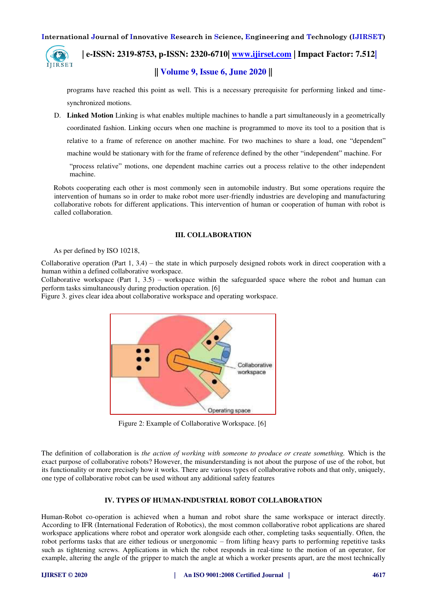

 **| e-ISSN: 2319-8753, p-ISSN: 2320-6710| [www.ijirset.com](http://www.ijirset.com/) | Impact Factor: 7.512|**

# **|| Volume 9, Issue 6, June 2020 ||**

programs have reached this point as well. This is a necessary prerequisite for performing linked and timesynchronized motions.

D. **Linked Motion** Linking is what enables multiple machines to handle a part simultaneously in a geometrically coordinated fashion. Linking occurs when one machine is programmed to move its tool to a position that is relative to a frame of reference on another machine. For two machines to share a load, one "dependent" machine would be stationary with for the frame of reference defined by the other "independent" machine. For

"process relative" motions, one dependent machine carries out a process relative to the other independent machine.

Robots cooperating each other is most commonly seen in automobile industry. But some operations require the intervention of humans so in order to make robot more user-friendly industries are developing and manufacturing collaborative robots for different applications. This intervention of human or cooperation of human with robot is called collaboration.

# **III. COLLABORATION**

#### As per defined by ISO 10218,

Collaborative operation (Part 1, 3.4) – the state in which purposely designed robots work in direct cooperation with a human within a defined collaborative workspace.

Collaborative workspace (Part 1,  $3.5$ ) – workspace within the safeguarded space where the robot and human can perform tasks simultaneously during production operation. [6]

Figure 3. gives clear idea about collaborative workspace and operating workspace.



Figure 2: Example of Collaborative Workspace. [6]

The definition of collaboration is *the action of working with someone to produce or create something.* Which is the exact purpose of collaborative robots? However, the misunderstanding is not about the purpose of use of the robot, but its functionality or more precisely how it works. There are various types of collaborative robots and that only, uniquely, one type of collaborative robot can be used without any additional safety features

# **IV. TYPES OF HUMAN-INDUSTRIAL ROBOT COLLABORATION**

Human-Robot co-operation is achieved when a human and robot share the same workspace or interact directly. According to IFR (International Federation of Robotics), the most common collaborative robot applications are shared workspace applications where robot and operator work alongside each other, completing tasks sequentially. Often, the robot performs tasks that are either tedious or unergonomic – from lifting heavy parts to performing repetitive tasks such as tightening screws. Applications in which the robot responds in real-time to the motion of an operator, for example, altering the angle of the gripper to match the angle at which a worker presents apart, are the most technically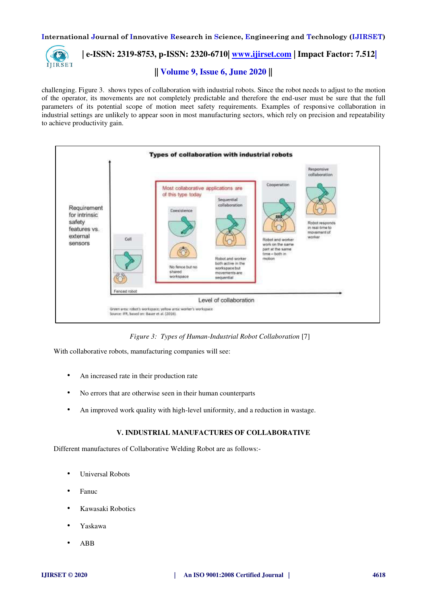

 **| e-ISSN: 2319-8753, p-ISSN: 2320-6710| [www.ijirset.com](http://www.ijirset.com/) | Impact Factor: 7.512|**

**|| Volume 9, Issue 6, June 2020 ||** 

challenging. Figure 3. shows types of collaboration with industrial robots. Since the robot needs to adjust to the motion of the operator, its movements are not completely predictable and therefore the end-user must be sure that the full parameters of its potential scope of motion meet safety requirements. Examples of responsive collaboration in industrial settings are unlikely to appear soon in most manufacturing sectors, which rely on precision and repeatability to achieve productivity gain.



*Figure 3: Types of Human-Industrial Robot Collaboration* [7]

With collaborative robots, manufacturing companies will see:

- An increased rate in their production rate
- No errors that are otherwise seen in their human counterparts
- An improved work quality with high-level uniformity, and a reduction in wastage.

# **V. INDUSTRIAL MANUFACTURES OF COLLABORATIVE**

Different manufactures of Collaborative Welding Robot are as follows:-

- Universal Robots
- Fanuc
- Kawasaki Robotics
- Yaskawa
- ABB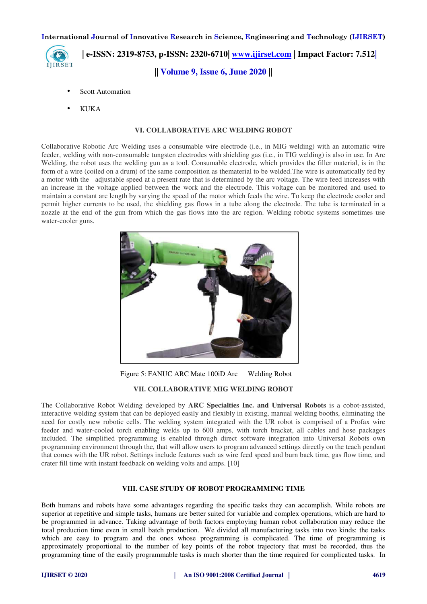

 **| e-ISSN: 2319-8753, p-ISSN: 2320-6710| [www.ijirset.com](http://www.ijirset.com/) | Impact Factor: 7.512| || Volume 9, Issue 6, June 2020 ||** 

- Scott Automation
- KUKA

# **VI. COLLABORATIVE ARC WELDING ROBOT**

Collaborative Robotic Arc Welding uses a consumable wire electrode (i.e., in MIG welding) with an automatic wire feeder, welding with non-consumable tungsten electrodes with shielding gas (i.e., in TIG welding) is also in use. In Arc Welding, the robot uses the welding gun as a tool. Consumable electrode, which provides the filler material, is in the form of a wire (coiled on a drum) of the same composition as thematerial to be welded.The wire is automatically fed by a motor with the adjustable speed at a present rate that is determined by the arc voltage. The wire feed increases with an increase in the voltage applied between the work and the electrode. This voltage can be monitored and used to maintain a constant arc length by varying the speed of the motor which feeds the wire. To keep the electrode cooler and permit higher currents to be used, the shielding gas flows in a tube along the electrode. The tube is terminated in a nozzle at the end of the gun from which the gas flows into the arc region. Welding robotic systems sometimes use water-cooler guns.



Figure 5: FANUC ARC Mate 100iD Arc Welding Robot

# **VII. COLLABORATIVE MIG WELDING ROBOT**

The Collaborative Robot Welding developed by **ARC Specialties Inc. and Universal Robots** is a cobot-assisted, interactive welding system that can be deployed easily and flexibly in existing, manual welding booths, eliminating the need for costly new robotic cells. The welding system integrated with the UR robot is comprised of a Profax wire feeder and water-cooled torch enabling welds up to 600 amps, with torch bracket, all cables and hose packages included. The simplified programming is enabled through direct software integration into Universal Robots own programming environment through the, that will allow users to program advanced settings directly on the teach pendant that comes with the UR robot. Settings include features such as wire feed speed and burn back time, gas flow time, and crater fill time with instant feedback on welding volts and amps. [10]

#### **VIII. CASE STUDY OF ROBOT PROGRAMMING TIME**

Both humans and robots have some advantages regarding the specific tasks they can accomplish. While robots are superior at repetitive and simple tasks, humans are better suited for variable and complex operations, which are hard to be programmed in advance. Taking advantage of both factors employing human robot collaboration may reduce the total production time even in small batch production. We divided all manufacturing tasks into two kinds: the tasks which are easy to program and the ones whose programming is complicated. The time of programming is approximately proportional to the number of key points of the robot trajectory that must be recorded, thus the programming time of the easily programmable tasks is much shorter than the time required for complicated tasks. In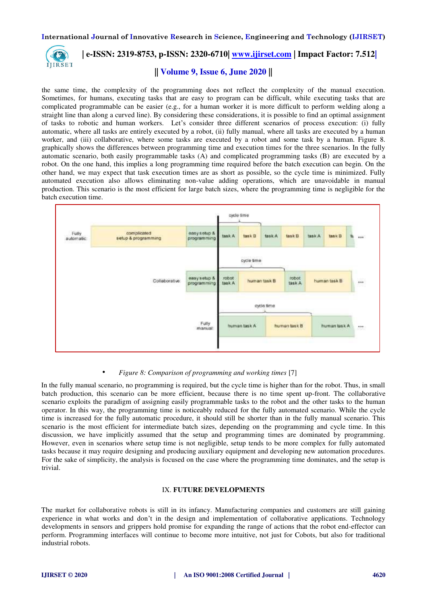

# **| e-ISSN: 2319-8753, p-ISSN: 2320-6710| [www.ijirset.com](http://www.ijirset.com/) | Impact Factor: 7.512|**

# **|| Volume 9, Issue 6, June 2020 ||**

the same time, the complexity of the programming does not reflect the complexity of the manual execution. Sometimes, for humans, executing tasks that are easy to program can be difficult, while executing tasks that are complicated programmable can be easier (e.g., for a human worker it is more difficult to perform welding along a straight line than along a curved line). By considering these considerations, it is possible to find an optimal assignment of tasks to robotic and human workers. Let's consider three different scenarios of process execution: (i) fully automatic, where all tasks are entirely executed by a robot, (ii) fully manual, where all tasks are executed by a human worker, and (iii) collaborative, where some tasks are executed by a robot and some task by a human. Figure 8. graphically shows the differences between programming time and execution times for the three scenarios. In the fully automatic scenario, both easily programmable tasks (A) and complicated programming tasks (B) are executed by a robot. On the one hand, this implies a long programming time required before the batch execution can begin. On the other hand, we may expect that task execution times are as short as possible, so the cycle time is minimized. Fully automated execution also allows eliminating non-value adding operations, which are unavoidable in manual production. This scenario is the most efficient for large batch sizes, where the programming time is negligible for the batch execution time.



#### • *Figure 8: Comparison of programming and working times* [7]

In the fully manual scenario, no programming is required, but the cycle time is higher than for the robot. Thus, in small batch production, this scenario can be more efficient, because there is no time spent up-front. The collaborative scenario exploits the paradigm of assigning easily programmable tasks to the robot and the other tasks to the human operator. In this way, the programming time is noticeably reduced for the fully automated scenario. While the cycle time is increased for the fully automatic procedure, it should still be shorter than in the fully manual scenario. This scenario is the most efficient for intermediate batch sizes, depending on the programming and cycle time. In this discussion, we have implicitly assumed that the setup and programming times are dominated by programming. However, even in scenarios where setup time is not negligible, setup tends to be more complex for fully automated tasks because it may require designing and producing auxiliary equipment and developing new automation procedures. For the sake of simplicity, the analysis is focused on the case where the programming time dominates, and the setup is trivial.

# IX. **FUTURE DEVELOPMENTS**

The market for collaborative robots is still in its infancy. Manufacturing companies and customers are still gaining experience in what works and don't in the design and implementation of collaborative applications. Technology developments in sensors and grippers hold promise for expanding the range of actions that the robot end-effector can perform. Programming interfaces will continue to become more intuitive, not just for Cobots, but also for traditional industrial robots.